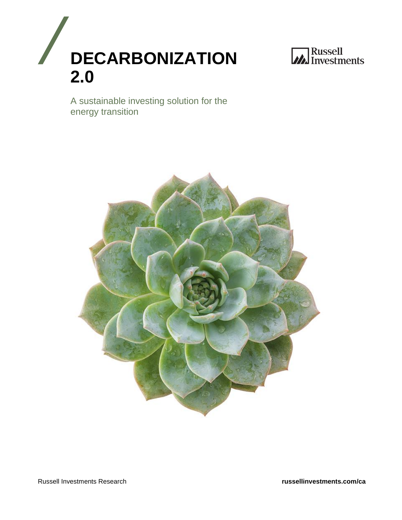



A sustainable investing solution for the energy transition

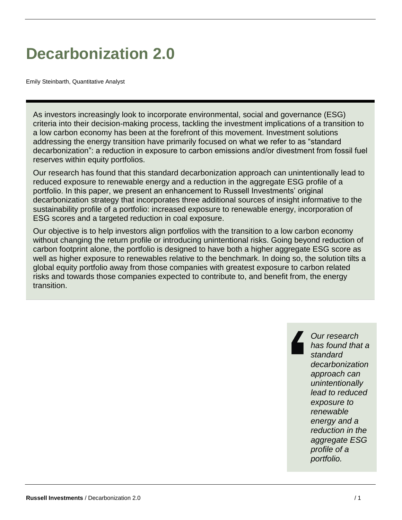# **Decarbonization 2.0**

Emily Steinbarth, Quantitative Analyst

As investors increasingly look to incorporate environmental, social and governance (ESG) criteria into their decision-making process, tackling the investment implications of a transition to a low carbon economy has been at the forefront of this movement. Investment solutions addressing the energy transition have primarily focused on what we refer to as "standard decarbonization": a reduction in exposure to carbon emissions and/or divestment from fossil fuel reserves within equity portfolios.

Our research has found that this standard decarbonization approach can unintentionally lead to reduced exposure to renewable energy and a reduction in the aggregate ESG profile of a portfolio. In this paper, we present an enhancement to Russell Investments' original decarbonization strategy that incorporates three additional sources of insight informative to the sustainability profile of a portfolio: increased exposure to renewable energy, incorporation of ESG scores and a targeted reduction in coal exposure.

Our objective is to help investors align portfolios with the transition to a low carbon economy without changing the return profile or introducing unintentional risks. Going beyond reduction of carbon footprint alone, the portfolio is designed to have both a higher aggregate ESG score as well as higher exposure to renewables relative to the benchmark. In doing so, the solution tilts a global equity portfolio away from those companies with greatest exposure to carbon related risks and towards those companies expected to contribute to, and benefit from, the energy transition.

> *Our research has found that a standard decarbonization approach can unintentionally lead to reduced exposure to renewable energy and a reduction in the aggregate ESG profile of a portfolio.*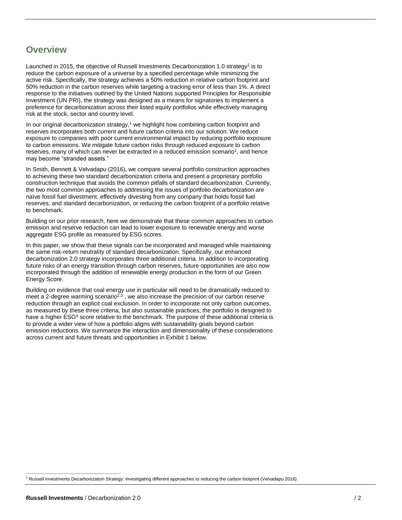### **Overview**

Launched in 2015, the objective of Russell Investments Decarbonization 1.0 strategy<sup>1</sup> is to reduce the carbon exposure of a universe by a specified percentage while minimizing the active risk. Specifically, the strategy achieves a 50% reduction in relative carbon footprint and 50% reduction in the carbon reserves while targeting a tracking error of less than 1%. A direct response to the initiatives outlined by the United Nations supported Principles for Responsible Investment (UN PRI), the strategy was designed as a means for signatories to implement a preference for decarbonization across their listed equity portfolios while effectively managing risk at the stock, sector and country level.

In our original decarbonization strategy, $1$  we highlight how combining carbon footprint and reserves incorporates both current and future carbon criteria into our solution. We reduce exposure to companies with poor current environmental impact by reducing portfolio exposure to carbon emissions. We mitigate future carbon risks through reduced exposure to carbon reserves, many of which can never be extracted in a reduced emission scenario<sup>1</sup>, and hence may become "stranded assets."

In Smith, Bennett & Velvadapu (2016), we compare several portfolio construction approaches to achieving these two standard decarbonization criteria and present a proprietary portfolio construction technique that avoids the common pitfalls of standard decarbonization. Currently, the two most common approaches to addressing the issues of portfolio decarbonization are naïve fossil fuel divestment, effectively divesting from any company that holds fossil fuel reserves, and standard decarbonization, or reducing the carbon footprint of a portfolio relative to benchmark.

Building on our prior research, here we demonstrate that these common approaches to carbon emission and reserve reduction can lead to lower exposure to renewable energy and worse aggregate ESG profile as measured by ESG scores.

In this paper, we show that these signals can be incorporated and managed while maintaining the same risk-return neutrality of standard decarbonization. Specifically, our enhanced decarbonization 2.0 strategy incorporates three additional criteria. In addition to incorporating future risks of an energy transition through carbon reserves, future opportunities are also now incorporated through the addition of renewable energy production in the form of our Green Energy Score.

Building on evidence that coal energy use in particular will need to be dramatically reduced to meet a 2-degree warming scenario<sup>2,3</sup>, we also increase the precision of our carbon reserve reduction through an explicit coal exclusion. In order to incorporate not only carbon outcomes, as measured by these three criteria, but also sustainable practices, the portfolio is designed to have a higher ESG<sup>4</sup> score relative to the benchmark. The purpose of these additional criteria is to provide a wider view of how a portfolio aligns with sustainability goals beyond carbon emission reductions. We summarize the interaction and dimensionality of these considerations across current and future threats and opportunities in Exhibit 1 below.

 $\overline{a}$ <sup>1</sup> Russell Investments Decarbonization Strategy: Investigating different approaches to reducing the carbon footprint (Velvadapu 2016)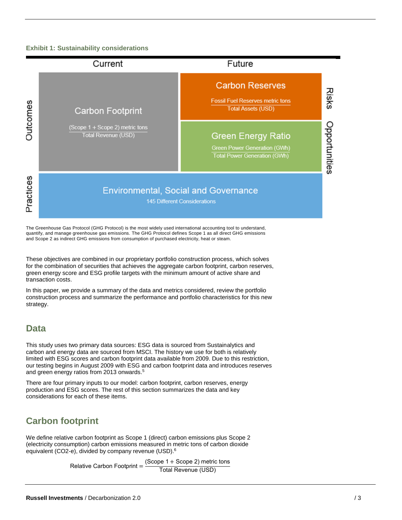#### **Exhibit 1: Sustainability considerations**



The Greenhouse Gas Protocol (GHG Protocol) is the most widely used international accounting tool to understand, quantify, and manage greenhouse gas emissions. The GHG Protocol defines Scope 1 as all direct GHG emissions and Scope 2 as indirect GHG emissions from consumption of purchased electricity, heat or steam.

These objectives are combined in our proprietary portfolio construction process, which solves for the combination of securities that achieves the aggregate carbon footprint, carbon reserves, green energy score and ESG profile targets with the minimum amount of active share and transaction costs.

In this paper, we provide a summary of the data and metrics considered, review the portfolio construction process and summarize the performance and portfolio characteristics for this new strategy.

### **Data**

This study uses two primary data sources: ESG data is sourced from Sustainalytics and carbon and energy data are sourced from MSCI. The history we use for both is relatively limited with ESG scores and carbon footprint data available from 2009. Due to this restriction, our testing begins in August 2009 with ESG and carbon footprint data and introduces reserves and green energy ratios from 2013 onwards.<sup>5</sup>

There are four primary inputs to our model: carbon footprint, carbon reserves, energy production and ESG scores. The rest of this section summarizes the data and key considerations for each of these items.

## **Carbon footprint**

We define relative carbon footprint as Scope 1 (direct) carbon emissions plus Scope 2 (electricity consumption) carbon emissions measured in metric tons of carbon dioxide equivalent (CO2-e), divided by company revenue (USD).<sup>6</sup>

> Relative Carbon Footprint = (Scope 1 + Scope 2) metric tons Total Revenue (USD)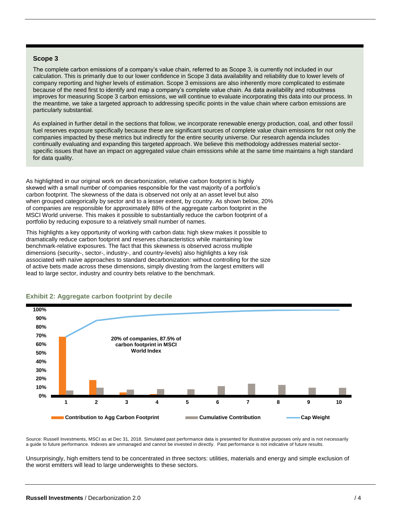#### **Scope 3**

The complete carbon emissions of a company's value chain, referred to as Scope 3, is currently not included in our calculation. This is primarily due to our lower confidence in Scope 3 data availability and reliability due to lower levels of company reporting and higher levels of estimation. Scope 3 emissions are also inherently more complicated to estimate because of the need first to identify and map a company's complete value chain. As data availability and robustness improves for measuring Scope 3 carbon emissions, we will continue to evaluate incorporating this data into our process. In the meantime, we take a targeted approach to addressing specific points in the value chain where carbon emissions are particularly substantial.

As explained in further detail in the sections that follow, we incorporate renewable energy production, coal, and other fossil fuel reserves exposure specifically because these are significant sources of complete value chain emissions for not only the companies impacted by these metrics but indirectly for the entire security universe. Our research agenda includes continually evaluating and expanding this targeted approach. We believe this methodology addresses material sectorspecific issues that have an impact on aggregated value chain emissions while at the same time maintains a high standard for data quality.

As highlighted in our original work on decarbonization, relative carbon footprint is highly skewed with a small number of companies responsible for the vast majority of a portfolio's carbon footprint. The skewness of the data is observed not only at an asset level but also when grouped categorically by sector and to a lesser extent, by country. As shown below, 20% of companies are responsible for approximately 88% of the aggregate carbon footprint in the MSCI World universe. This makes it possible to substantially reduce the carbon footprint of a portfolio by reducing exposure to a relatively small number of names.

This highlights a key opportunity of working with carbon data: high skew makes it possible to dramatically reduce carbon footprint and reserves characteristics while maintaining low benchmark-relative exposures. The fact that this skewness is observed across multiple dimensions (security-, sector-, industry-, and country-levels) also highlights a key risk associated with naïve approaches to standard decarbonization: without controlling for the size of active bets made across these dimensions, simply divesting from the largest emitters will lead to large sector, industry and country bets relative to the benchmark.



#### **Exhibit 2: Aggregate carbon footprint by decile**

Source: Russell Investments, MSCI as at Dec 31, 2018. Simulated past performance data is presented for illustrative purposes only and is not necessarily a guide to future performance. Indexes are unmanaged and cannot be invested in directly. Past performance is not indicative of future results.

Unsurprisingly, high emitters tend to be concentrated in three sectors: utilities, materials and energy and simple exclusion of the worst emitters will lead to large underweights to these sectors.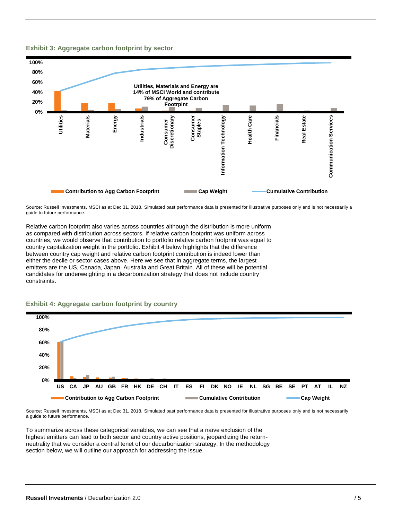#### **Exhibit 3: Aggregate carbon footprint by sector**



Source: Russell Investments, MSCI as at Dec 31, 2018. Simulated past performance data is presented for illustrative purposes only and is not necessarily a guide to future performance.

Relative carbon footprint also varies across countries although the distribution is more uniform as compared with distribution across sectors. If relative carbon footprint was uniform across countries, we would observe that contribution to portfolio relative carbon footprint was equal to country capitalization weight in the portfolio. Exhibit 4 below highlights that the difference between country cap weight and relative carbon footprint contribution is indeed lower than either the decile or sector cases above. Here we see that in aggregate terms, the largest emitters are the US, Canada, Japan, Australia and Great Britain. All of these will be potential candidates for underweighting in a decarbonization strategy that does not include country constraints.

#### **Exhibit 4: Aggregate carbon footprint by country**



Source: Russell Investments, MSCI as at Dec 31, 2018. Simulated past performance data is presented for illustrative purposes only and is not necessarily a guide to future performance.

To summarize across these categorical variables, we can see that a naïve exclusion of the highest emitters can lead to both sector and country active positions, jeopardizing the returnneutrality that we consider a central tenet of our decarbonization strategy. In the methodology section below, we will outline our approach for addressing the issue.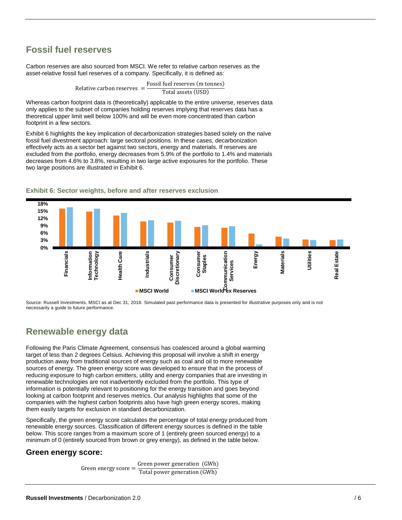### **Fossil fuel reserves**

Carbon reserves are also sourced from MSCI. We refer to relative carbon reserves as the asset-relative fossil fuel reserves of a company. Specifically, it is defined as:

> Relative carbon reserves = Fossil fuel reserves (m tonnes) Total assets (USD)

Whereas carbon footprint data is (theoretically) applicable to the entire universe, reserves data only applies to the subset of companies holding reserves implying that reserves data has a theoretical upper limit well below 100% and will be even more concentrated than carbon footprint in a few sectors.

Exhibit 6 highlights the key implication of decarbonization strategies based solely on the naïve fossil fuel divestment approach: large sectoral positions. In these cases, decarbonization effectively acts as a sector bet against two sectors, energy and materials. If reserves are excluded from the portfolio, energy decreases from 5.9% of the portfolio to 1.4% and materials decreases from 4.6% to 3.8%, resulting in two large active exposures for the portfolio. These two large positions are illustrated in Exhibit 6.



#### **Exhibit 6: Sector weights, before and after reserves exclusion**

Source: Russell Investments, MSCI as at Dec 31, 2018. Simulated past performance data is presented for illustrative purposes only and is not necessarily a guide to future performance.

### **Renewable energy data**

Following the Paris Climate Agreement, consensus has coalesced around a global warming target of less than 2 degrees Celsius. Achieving this proposal will involve a shift in energy production away from traditional sources of energy such as coal and oil to more renewable sources of energy. The green energy score was developed to ensure that in the process of reducing exposure to high carbon emitters, utility and energy companies that are investing in renewable technologies are not inadvertently excluded from the portfolio. This type of information is potentially relevant to positioning for the energy transition and goes beyond looking at carbon footprint and reserves metrics. Our analysis highlights that some of the companies with the highest carbon footprints also have high green energy scores, making them easily targets for exclusion in standard decarbonization.

Specifically, the green energy score calculates the percentage of total energy produced from renewable energy sources. Classification of different energy sources is defined in the table below. This score ranges from a maximum score of 1 (entirely green sourced energy) to a minimum of 0 (entirely sourced from brown or grey energy), as defined in the table below.

#### **Green energy score:**

Green energy score = Green power generation (GWh) Total power generation (GWh)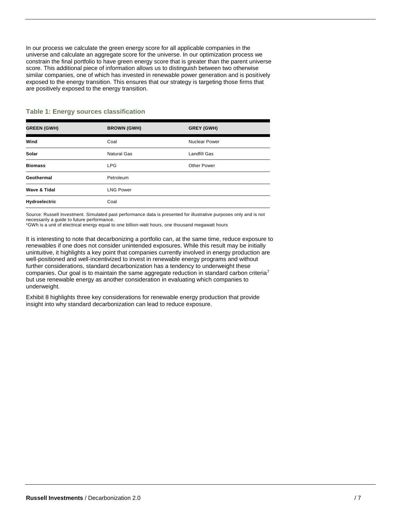In our process we calculate the green energy score for all applicable companies in the universe and calculate an aggregate score for the universe. In our optimization process we constrain the final portfolio to have green energy score that is greater than the parent universe score. This additional piece of information allows us to distinguish between two otherwise similar companies, one of which has invested in renewable power generation and is positively exposed to the energy transition. This ensures that our strategy is targeting those firms that are positively exposed to the energy transition.

| <b>GREEN (GWH)</b> | <b>BROWN (GWH)</b> | <b>GREY (GWH)</b> |
|--------------------|--------------------|-------------------|
| Wind               | Coal               | Nuclear Power     |
| Solar              | <b>Natural Gas</b> | Landfill Gas      |
| <b>Biomass</b>     | <b>LPG</b>         | Other Power       |
| Geothermal         | Petroleum          |                   |
| Wave & Tidal       | <b>LNG Power</b>   |                   |
| Hydroelectric      | Coal               |                   |

#### **Table 1: Energy sources classification**

Source: Russell Investment. Simulated past performance data is presented for illustrative purposes only and is not necessarily a guide to future performance.

\*GWh is a unit of electrical energy equal to one billion-watt hours, one thousand megawatt hours

It is interesting to note that decarbonizing a portfolio can, at the same time, reduce exposure to renewables if one does not consider unintended exposures. While this result may be initially unintuitive, it highlights a key point that companies currently involved in energy production are well-positioned and well-incentivized to invest in renewable energy programs and without further considerations, standard decarbonization has a tendency to underweight these companies. Our goal is to maintain the same aggregate reduction in standard carbon criteria<sup>7</sup> but use renewable energy as another consideration in evaluating which companies to underweight.

Exhibit 8 highlights three key considerations for renewable energy production that provide insight into why standard decarbonization can lead to reduce exposure.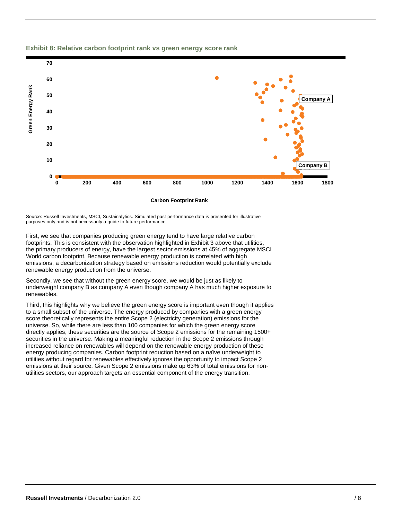

#### **Exhibit 8: Relative carbon footprint rank vs green energy score rank**

Source: Russell Investments, MSCI, Sustainalytics. Simulated past performance data is presented for illustrative purposes only and is not necessarily a guide to future performance.

First, we see that companies producing green energy tend to have large relative carbon footprints. This is consistent with the observation highlighted in Exhibit 3 above that utilities, the primary producers of energy, have the largest sector emissions at 45% of aggregate MSCI World carbon footprint. Because renewable energy production is correlated with high emissions, a decarbonization strategy based on emissions reduction would potentially exclude renewable energy production from the universe.

Secondly, we see that without the green energy score, we would be just as likely to underweight company B as company A even though company A has much higher exposure to renewables.

Third, this highlights why we believe the green energy score is important even though it applies to a small subset of the universe. The energy produced by companies with a green energy score theoretically represents the entire Scope 2 (electricity generation) emissions for the universe. So, while there are less than 100 companies for which the green energy score directly applies, these securities are the source of Scope 2 emissions for the remaining 1500+ securities in the universe. Making a meaningful reduction in the Scope 2 emissions through increased reliance on renewables will depend on the renewable energy production of these energy producing companies. Carbon footprint reduction based on a naïve underweight to utilities without regard for renewables effectively ignores the opportunity to impact Scope 2 emissions at their source. Given Scope 2 emissions make up 63% of total emissions for nonutilities sectors, our approach targets an essential component of the energy transition.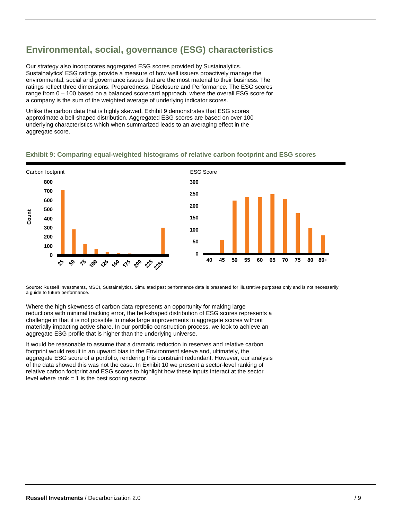# **Environmental, social, governance (ESG) characteristics**

Our strategy also incorporates aggregated ESG scores provided by Sustainalytics. Sustainalytics' ESG ratings provide a measure of how well issuers proactively manage the environmental, social and governance issues that are the most material to their business. The ratings reflect three dimensions: Preparedness, Disclosure and Performance. The ESG scores range from 0 – 100 based on a balanced scorecard approach, where the overall ESG score for a company is the sum of the weighted average of underlying indicator scores.

Unlike the carbon data that is highly skewed, Exhibit 9 demonstrates that ESG scores approximate a bell-shaped distribution. Aggregated ESG scores are based on over 100 underlying characteristics which when summarized leads to an averaging effect in the aggregate score.

#### Carbon footprint **ESG** Score **0 100 200 300 400 500 600 700 800 Count 0 50 100 150 200 250 300**

#### **Exhibit 9: Comparing equal-weighted histograms of relative carbon footprint and ESG scores**

Source: Russell Investments, MSCI, Sustainalytics. Simulated past performance data is presented for illustrative purposes only and is not necessarily a guide to future performance.

**40 45 50 55 60 65 70 75 80 80+**

Where the high skewness of carbon data represents an opportunity for making large reductions with minimal tracking error, the bell-shaped distribution of ESG scores represents a challenge in that it is not possible to make large improvements in aggregate scores without materially impacting active share. In our portfolio construction process, we look to achieve an aggregate ESG profile that is higher than the underlying universe.

100 125 130 15 20 25 25

^়

It would be reasonable to assume that a dramatic reduction in reserves and relative carbon footprint would result in an upward bias in the Environment sleeve and, ultimately, the aggregate ESG score of a portfolio, rendering this constraint redundant. However, our analysis of the data showed this was not the case. In Exhibit 10 we present a sector-level ranking of relative carbon footprint and ESG scores to highlight how these inputs interact at the sector level where  $rank = 1$  is the best scoring sector.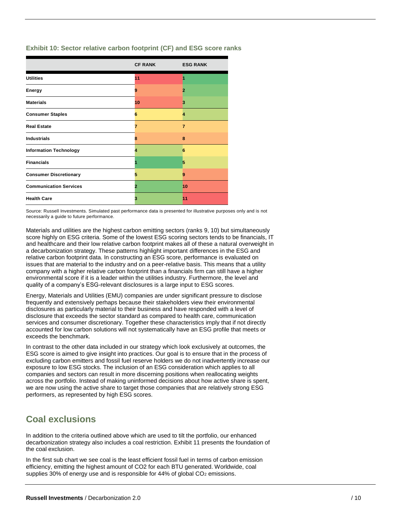| Exhibit 10: Sector relative carbon footprint (CF) and ESG score ranks |  |  |  |
|-----------------------------------------------------------------------|--|--|--|
|-----------------------------------------------------------------------|--|--|--|

|                               | <b>CF RANK</b> | <b>ESG RANK</b> |
|-------------------------------|----------------|-----------------|
| <b>Utilities</b>              | 11             |                 |
| Energy                        | 9              |                 |
| <b>Materials</b>              | 10             | з               |
| <b>Consumer Staples</b>       | 6              | 4               |
| <b>Real Estate</b>            | 7              | 7               |
| <b>Industrials</b>            | 8              | 8               |
| <b>Information Technology</b> | 4              | 6               |
| <b>Financials</b>             |                | 5               |
| <b>Consumer Discretionary</b> | 5              | 9               |
| <b>Communication Services</b> | 2              | 10              |
| <b>Health Care</b>            | 3              | 11              |

Source: Russell Investments. Simulated past performance data is presented for illustrative purposes only and is not necessarily a guide to future performance.

Materials and utilities are the highest carbon emitting sectors (ranks 9, 10) but simultaneously score highly on ESG criteria. Some of the lowest ESG scoring sectors tends to be financials, IT and healthcare and their low relative carbon footprint makes all of these a natural overweight in a decarbonization strategy. These patterns highlight important differences in the ESG and relative carbon footprint data. In constructing an ESG score, performance is evaluated on issues that are material to the industry and on a peer-relative basis. This means that a utility company with a higher relative carbon footprint than a financials firm can still have a higher environmental score if it is a leader within the utilities industry. Furthermore, the level and quality of a company's ESG-relevant disclosures is a large input to ESG scores.

Energy, Materials and Utilities (EMU) companies are under significant pressure to disclose frequently and extensively perhaps because their stakeholders view their environmental disclosures as particularly material to their business and have responded with a level of disclosure that exceeds the sector standard as compared to health care, communication services and consumer discretionary. Together these characteristics imply that if not directly accounted for low carbon solutions will not systematically have an ESG profile that meets or exceeds the benchmark.

In contrast to the other data included in our strategy which look exclusively at outcomes, the ESG score is aimed to give insight into practices. Our goal is to ensure that in the process of excluding carbon emitters and fossil fuel reserve holders we do not inadvertently increase our exposure to low ESG stocks. The inclusion of an ESG consideration which applies to all companies and sectors can result in more discerning positions when reallocating weights across the portfolio. Instead of making uninformed decisions about how active share is spent, we are now using the active share to target those companies that are relatively strong ESG performers, as represented by high ESG scores.

## **Coal exclusions**

In addition to the criteria outlined above which are used to tilt the portfolio, our enhanced decarbonization strategy also includes a coal restriction. Exhibit 11 presents the foundation of the coal exclusion.

In the first sub chart we see coal is the least efficient fossil fuel in terms of carbon emission efficiency, emitting the highest amount of CO2 for each BTU generated. Worldwide, coal supplies 30% of energy use and is responsible for 44% of global  $CO<sub>2</sub>$  emissions.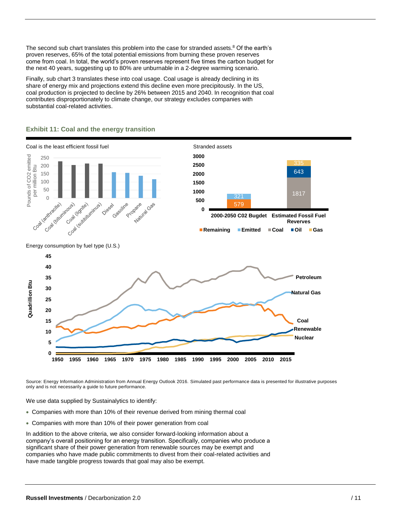The second sub chart translates this problem into the case for stranded assets.<sup>8</sup> Of the earth's proven reserves, 65% of the total potential emissions from burning these proven reserves come from coal. In total, the world's proven reserves represent five times the carbon budget for the next 40 years, suggesting up to 80% are unburnable in a 2-degree warming scenario.

Finally, sub chart 3 translates these into coal usage. Coal usage is already declining in its share of energy mix and projections extend this decline even more precipitously. In the US, coal production is projected to decline by 26% between 2015 and 2040. In recognition that coal contributes disproportionately to climate change, our strategy excludes companies with substantial coal-related activities.



#### **Exhibit 11: Coal and the energy transition**

Source: Energy Information Administration from Annual Energy Outlook 2016. Simulated past performance data is presented for illustrative purposes only and is not necessarily a guide to future performance.

We use data supplied by Sustainalytics to identify:

- Companies with more than 10% of their revenue derived from mining thermal coal
- Companies with more than 10% of their power generation from coal

In addition to the above criteria, we also consider forward-looking information about a company's overall positioning for an energy transition. Specifically, companies who produce a significant share of their power generation from renewable sources may be exempt and companies who have made public commitments to divest from their coal-related activities and have made tangible progress towards that goal may also be exempt.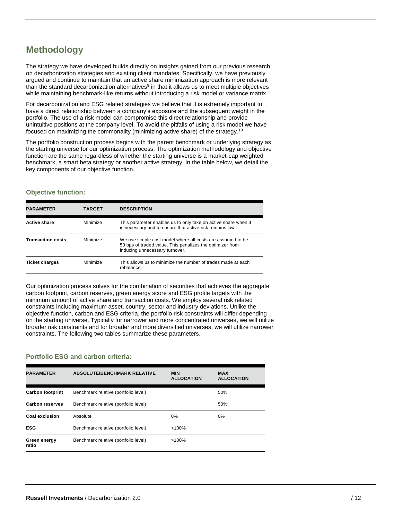# **Methodology**

The strategy we have developed builds directly on insights gained from our previous research on decarbonization strategies and existing client mandates. Specifically, we have previously argued and continue to maintain that an active share minimization approach is more relevant than the standard decarbonization alternatives<sup>9</sup> in that it allows us to meet multiple objectives while maintaining benchmark-like returns without introducing a risk model or variance matrix.

For decarbonization and ESG related strategies we believe that it is extremely important to have a direct relationship between a company's exposure and the subsequent weight in the portfolio. The use of a risk model can compromise this direct relationship and provide unintuitive positions at the company level. To avoid the pitfalls of using a risk model we have focused on maximizing the commonality (minimizing active share) of the strategy.<sup>10</sup>

The portfolio construction process begins with the parent benchmark or underlying strategy as the starting universe for our optimization process. The optimization methodology and objective function are the same regardless of whether the starting universe is a market-cap weighted benchmark, a smart beta strategy or another active strategy. In the table below, we detail the key components of our objective function.

#### **Objective function:**

| <b>PARAMETER</b>         | <b>TARGET</b> | <b>DESCRIPTION</b>                                                                                                                                        |
|--------------------------|---------------|-----------------------------------------------------------------------------------------------------------------------------------------------------------|
| <b>Active share</b>      | Minimize      | This parameter enables us to only take on active share when it<br>is necessary and to ensure that active risk remains low.                                |
| <b>Transaction costs</b> | Minimize      | We use simple cost model where all costs are assumed to be<br>50 bps of traded value. This penalizes the optimizer from<br>inducing unnecessary turnover. |
| <b>Ticket charges</b>    | Minimize      | This allows us to minimize the number of trades made at each<br>rebalance.                                                                                |

Our optimization process solves for the combination of securities that achieves the aggregate carbon footprint, carbon reserves, green energy score and ESG profile targets with the minimum amount of active share and transaction costs. We employ several risk related constraints including maximum asset, country, sector and industry deviations. Unlike the objective function, carbon and ESG criteria, the portfolio risk constraints will differ depending on the starting universe. Typically for narrower and more concentrated universes, we will utilize broader risk constraints and for broader and more diversified universes, we will utilize narrower constraints. The following two tables summarize these parameters.

#### **Portfolio ESG and carbon criteria:**

| <b>PARAMETER</b>        | <b>ABSOLUTE/BENCHMARK RELATIVE</b>   | <b>MIN</b><br><b>ALLOCATION</b> | <b>MAX</b><br><b>ALLOCATION</b> |
|-------------------------|--------------------------------------|---------------------------------|---------------------------------|
| <b>Carbon footprint</b> | Benchmark relative (portfolio level) |                                 | 50%                             |
| <b>Carbon reserves</b>  | Benchmark relative (portfolio level) |                                 | 50%                             |
| Coal exclusion          | Absolute                             | 0%                              | 0%                              |
| <b>ESG</b>              | Benchmark relative (portfolio level) | $>100\%$                        |                                 |
| Green energy<br>ratio   | Benchmark relative (portfolio level) | $>100\%$                        |                                 |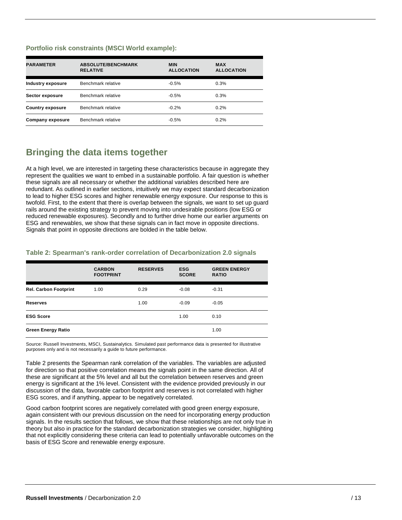#### **Portfolio risk constraints (MSCI World example):**

| <b>PARAMETER</b>        | <b>ABSOLUTE/BENCHMARK</b><br><b>RELATIVE</b> | <b>MIN</b><br><b>ALLOCATION</b> | <b>MAX</b><br><b>ALLOCATION</b> |
|-------------------------|----------------------------------------------|---------------------------------|---------------------------------|
| Industry exposure       | Benchmark relative                           | $-0.5%$                         | 0.3%                            |
| Sector exposure         | Benchmark relative                           | $-0.5%$                         | 0.3%                            |
| <b>Country exposure</b> | Benchmark relative                           | $-0.2%$                         | 0.2%                            |
| Company exposure        | Benchmark relative                           | $-0.5%$                         | 0.2%                            |

## **Bringing the data items together**

At a high level, we are interested in targeting these characteristics because in aggregate they represent the qualities we want to embed in a sustainable portfolio. A fair question is whether these signals are all necessary or whether the additional variables described here are redundant. As outlined in earlier sections, intuitively we may expect standard decarbonization to lead to higher ESG scores and higher renewable energy exposure. Our response to this is twofold. First, to the extent that there is overlap between the signals, we want to set up guard rails around the existing strategy to prevent moving into undesirable positions (low ESG or reduced renewable exposures). Secondly and to further drive home our earlier arguments on ESG and renewables, we show that these signals can in fact move in opposite directions. Signals that point in opposite directions are bolded in the table below.

#### **Table 2: Spearman's rank-order correlation of Decarbonization 2.0 signals**

|                              | <b>CARBON</b><br><b>FOOTPRINT</b> | <b>RESERVES</b> | <b>ESG</b><br><b>SCORE</b> | <b>GREEN ENERGY</b><br><b>RATIO</b> |
|------------------------------|-----------------------------------|-----------------|----------------------------|-------------------------------------|
| <b>Rel. Carbon Footprint</b> | 1.00                              | 0.29            | $-0.08$                    | $-0.31$                             |
| <b>Reserves</b>              |                                   | 1.00            | $-0.09$                    | $-0.05$                             |
| <b>ESG Score</b>             |                                   |                 | 1.00                       | 0.10                                |
| <b>Green Energy Ratio</b>    |                                   |                 |                            | 1.00                                |

Source: Russell Investments, MSCI, Sustainalytics. Simulated past performance data is presented for illustrative purposes only and is not necessarily a guide to future performance.

Table 2 presents the Spearman rank correlation of the variables. The variables are adjusted for direction so that positive correlation means the signals point in the same direction. All of these are significant at the 5% level and all but the correlation between reserves and green energy is significant at the 1% level. Consistent with the evidence provided previously in our discussion of the data, favorable carbon footprint and reserves is not correlated with higher ESG scores, and if anything, appear to be negatively correlated.

Good carbon footprint scores are negatively correlated with good green energy exposure, again consistent with our previous discussion on the need for incorporating energy production signals. In the results section that follows, we show that these relationships are not only true in theory but also in practice for the standard decarbonization strategies we consider, highlighting that not explicitly considering these criteria can lead to potentially unfavorable outcomes on the basis of ESG Score and renewable energy exposure.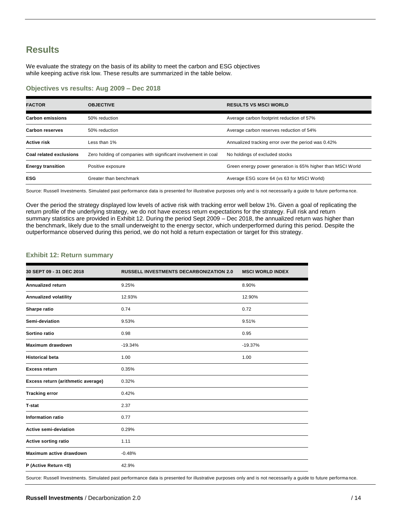### **Results**

We evaluate the strategy on the basis of its ability to meet the carbon and ESG objectives while keeping active risk low. These results are summarized in the table below.

#### **Objectives vs results: Aug 2009 – Dec 2018**

| <b>FACTOR</b>                  | <b>OBJECTIVE</b>                                               | <b>RESULTS VS MSCI WORLD</b>                                |
|--------------------------------|----------------------------------------------------------------|-------------------------------------------------------------|
| <b>Carbon emissions</b>        | 50% reduction                                                  | Average carbon footprint reduction of 57%                   |
| <b>Carbon reserves</b>         | 50% reduction                                                  | Average carbon reserves reduction of 54%                    |
| <b>Active risk</b>             | Less than 1%                                                   | Annualized tracking error over the period was 0.42%         |
| <b>Coal related exclusions</b> | Zero holding of companies with significant involvement in coal | No holdings of excluded stocks                              |
| <b>Energy transition</b>       | Positive exposure                                              | Green energy power generation is 65% higher than MSCI World |
| <b>ESG</b>                     | Greater than benchmark                                         | Average ESG score 64 (vs 63 for MSCI World)                 |

Source: Russell Investments. Simulated past performance data is presented for illustrative purposes only and is not necessarily a guide to future performa nce.

Over the period the strategy displayed low levels of active risk with tracking error well below 1%. Given a goal of replicating the return profile of the underlying strategy, we do not have excess return expectations for the strategy. Full risk and return summary statistics are provided in Exhibit 12. During the period Sept 2009 – Dec 2018, the annualized return was higher than the benchmark, likely due to the small underweight to the energy sector, which underperformed during this period. Despite the outperformance observed during this period, we do not hold a return expectation or target for this strategy.

#### **Exhibit 12: Return summary**

| 30 SEPT 09 - 31 DEC 2018           | <b>RUSSELL INVESTMENTS DECARBONIZATION 2.0</b> | <b>MSCI WORLD INDEX</b> |
|------------------------------------|------------------------------------------------|-------------------------|
| <b>Annualized return</b>           | 9.25%                                          | 8.90%                   |
| Annualized volatility              | 12.93%                                         | 12.90%                  |
| Sharpe ratio                       | 0.74                                           | 0.72                    |
| Semi-deviation                     | 9.53%                                          | 9.51%                   |
| Sortino ratio                      | 0.98                                           | 0.95                    |
| <b>Maximum drawdown</b>            | $-19.34%$                                      | $-19.37%$               |
| <b>Historical beta</b>             | 1.00                                           | 1.00                    |
| <b>Excess return</b>               | 0.35%                                          |                         |
| Excess return (arithmetic average) | 0.32%                                          |                         |
| <b>Tracking error</b>              | 0.42%                                          |                         |
| <b>T-stat</b>                      | 2.37                                           |                         |
| <b>Information ratio</b>           | 0.77                                           |                         |
| <b>Active semi-deviation</b>       | 0.29%                                          |                         |
| <b>Active sorting ratio</b>        | 1.11                                           |                         |
| Maximum active drawdown            | $-0.48%$                                       |                         |
| P (Active Return <0)               | 42.9%                                          |                         |

Source: Russell Investments. Simulated past performance data is presented for illustrative purposes only and is not necessarily a guide to future performa nce.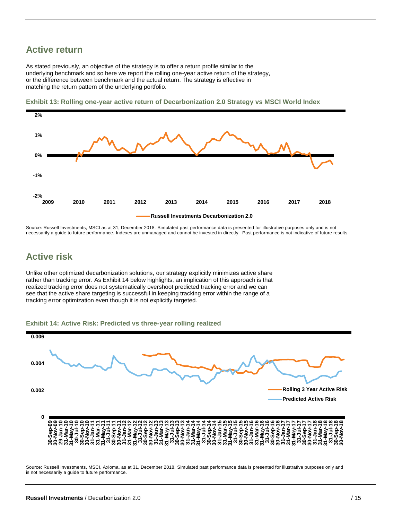### **Active return**

As stated previously, an objective of the strategy is to offer a return profile similar to the underlying benchmark and so here we report the rolling one-year active return of the strategy, or the difference between benchmark and the actual return. The strategy is effective in matching the return pattern of the underlying portfolio.



**Exhibit 13: Rolling one-year active return of Decarbonization 2.0 Strategy vs MSCI World Index**

Source: Russell Investments, MSCI as at 31, December 2018. Simulated past performance data is presented for illustrative purposes only and is not necessarily a guide to future performance. Indexes are unmanaged and cannot be invested in directly. Past performance is not indicative of future results.

### **Active risk**

Unlike other optimized decarbonization solutions, our strategy explicitly minimizes active share rather than tracking error. As Exhibit 14 below highlights, an implication of this approach is that realized tracking error does not systematically overshoot predicted tracking error and we can see that the active share targeting is successful in keeping tracking error within the range of a tracking error optimization even though it is not explicitly targeted.





Source: Russell Investments, MSCI, Axioma, as at 31, December 2018. Simulated past performance data is presented for illustrative purposes only and is not necessarily a guide to future performance.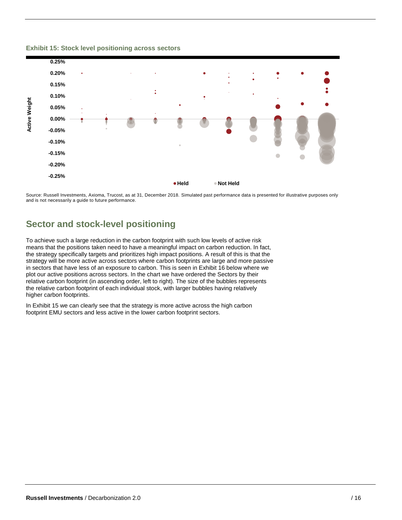

#### **Exhibit 15: Stock level positioning across sectors**

Source: Russell Investments, Axioma, Trucost, as at 31, December 2018. Simulated past performance data is presented for illustrative purposes only and is not necessarily a guide to future performance.

### **Sector and stock-level positioning**

To achieve such a large reduction in the carbon footprint with such low levels of active risk means that the positions taken need to have a meaningful impact on carbon reduction. In fact, the strategy specifically targets and prioritizes high impact positions. A result of this is that the strategy will be more active across sectors where carbon footprints are large and more passive in sectors that have less of an exposure to carbon. This is seen in Exhibit 16 below where we plot our active positions across sectors. In the chart we have ordered the Sectors by their relative carbon footprint (in ascending order, left to right). The size of the bubbles represents the relative carbon footprint of each individual stock, with larger bubbles having relatively higher carbon footprints.

In Exhibit 15 we can clearly see that the strategy is more active across the high carbon footprint EMU sectors and less active in the lower carbon footprint sectors.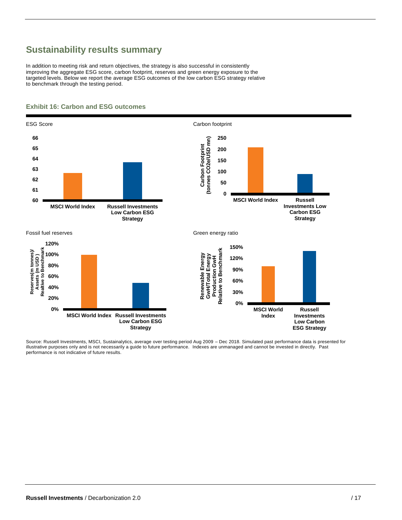# **Sustainability results summary**

In addition to meeting risk and return objectives, the strategy is also successful in consistently improving the aggregate ESG score, carbon footprint, reserves and green energy exposure to the targeted levels. Below we report the average ESG outcomes of the low carbon ESG strategy relative to benchmark through the testing period.



#### **Exhibit 16: Carbon and ESG outcomes**

Source: Russell Investments, MSCI, Sustainalytics, average over testing period Aug 2009 – Dec 2018. Simulated past performance data is presented for illustrative purposes only and is not necessarily a guide to future performance. Indexes are unmanaged and cannot be invested in directly. Past performance is not indicative of future results.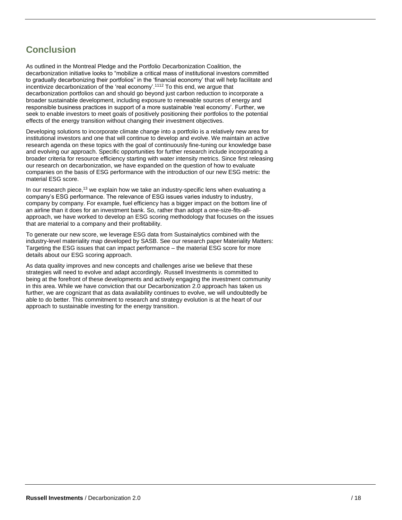# **Conclusion**

As outlined in the Montreal Pledge and the Portfolio Decarbonization Coalition, the decarbonization initiative looks to "mobilize a critical mass of institutional investors committed to gradually decarbonizing their portfolios" in the 'financial economy' that will help facilitate and incentivize decarbonization of the 'real economy'.<sup>1112</sup> To this end, we argue that decarbonization portfolios can and should go beyond just carbon reduction to incorporate a broader sustainable development, including exposure to renewable sources of energy and responsible business practices in support of a more sustainable 'real economy'. Further, we seek to enable investors to meet goals of positively positioning their portfolios to the potential effects of the energy transition without changing their investment objectives.

Developing solutions to incorporate climate change into a portfolio is a relatively new area for institutional investors and one that will continue to develop and evolve. We maintain an active research agenda on these topics with the goal of continuously fine-tuning our knowledge base and evolving our approach. Specific opportunities for further research include incorporating a broader criteria for resource efficiency starting with water intensity metrics. Since first releasing our research on decarbonization, we have expanded on the question of how to evaluate companies on the basis of ESG performance with the introduction of our new ESG metric: the material ESG score.

In our research piece,<sup>13</sup> we explain how we take an industry-specific lens when evaluating a company's ESG performance. The relevance of ESG issues varies industry to industry, company by company. For example, fuel efficiency has a bigger impact on the bottom line of an airline than it does for an investment bank. So, rather than adopt a one-size-fits-allapproach, we have worked to develop an ESG scoring methodology that focuses on the issues that are material to a company and their profitability.

To generate our new score, we leverage ESG data from Sustainalytics combined with the industry-level materiality map developed by SASB. See our research paper Materiality Matters: Targeting the ESG issues that can impact performance – the material ESG score for more details about our ESG scoring approach.

As data quality improves and new concepts and challenges arise we believe that these strategies will need to evolve and adapt accordingly. Russell Investments is committed to being at the forefront of these developments and actively engaging the investment community in this area. While we have conviction that our Decarbonization 2.0 approach has taken us further, we are cognizant that as data availability continues to evolve, we will undoubtedly be able to do better. This commitment to research and strategy evolution is at the heart of our approach to sustainable investing for the energy transition.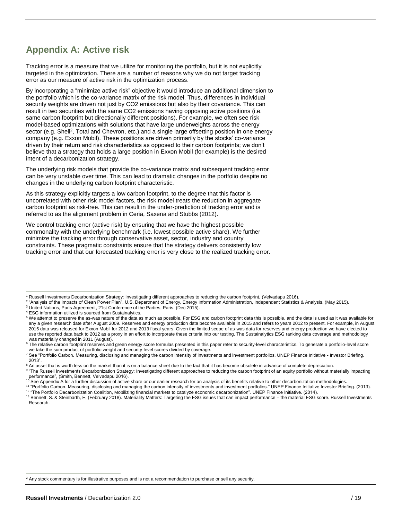# **Appendix A: Active risk**

Tracking error is a measure that we utilize for monitoring the portfolio, but it is not explicitly targeted in the optimization. There are a number of reasons why we do not target tracking error as our measure of active risk in the optimization process.

By incorporating a "minimize active risk" objective it would introduce an additional dimension to the portfolio which is the co-variance matrix of the risk model. Thus, differences in individual security weights are driven not just by CO2 emissions but also by their covariance. This can result in two securities with the same CO2 emissions having opposing active positions (i.e. same carbon footprint but directionally different positions). For example, we often see risk model-based optimizations with solutions that have large underweights across the energy sector (e.g. Shell<sup>2</sup>, Total and Chevron, etc.) and a single large offsetting position in one energy company (e.g. Exxon Mobil). These positions are driven primarily by the stocks' co-variance driven by their return and risk characteristics as opposed to their carbon footprints; we don't believe that a strategy that holds a large position in Exxon Mobil (for example) is the desired intent of a decarbonization strategy.

The underlying risk models that provide the co-variance matrix and subsequent tracking error can be very unstable over time. This can lead to dramatic changes in the portfolio despite no changes in the underlying carbon footprint characteristic.

As this strategy explicitly targets a low carbon footprint, to the degree that this factor is uncorrelated with other risk model factors, the risk model treats the reduction in aggregate carbon footprint as risk-free. This can result in the under-prediction of tracking error and is referred to as the alignment problem in Ceria, Saxena and Stubbs (2012).

We control tracking error (active risk) by ensuring that we have the highest possible commonality with the underlying benchmark (i.e. lowest possible active share). We further minimize the tracking error through conservative asset, sector, industry and country constraints. These pragmatic constraints ensure that the strategy delivers consistently low tracking error and that our forecasted tracking error is very close to the realized tracking error.

- <sup>2</sup> "Analysis of the Impacts of Clean Power Plan", U.S. Department of Energy, Energy Information Administration, Independent Statistics & Analysis. (May 2015).
- <sup>3</sup> United Nations, Paris Agreement, 21st Conference of the Parties, Paris. (Dec 2015).
- <sup>4</sup> ESG information utilized is sourced from Sustainalytics.

<sup>8</sup> An asset that is worth less on the market than it is on a balance sheet due to the fact that it has become obsolete in advance of complete depreciation.

 $\overline{a}$ 

 $\overline{a}$ 

<sup>1</sup> Russell Investments Decarbonization Strategy: Investigating different approaches to reducing the carbon footprint, (Velvadapu 2016).

<sup>5</sup> We attempt to preserve the as-was nature of the data as much as possible. For ESG and carbon footprint data this is possible, and the data is used as it was available for any a given research date after August 2009. Reserves and energy production data become available in 2015 and refers to years 2012 to present. For example, in August 2015 data was released for Exxon Mobil for 2012 and 2013 fiscal years. Given the limited scope of as-was data for reserves and energy production we have elected to use the reported data back to 2012 as a proxy in an effort to incorporate these criteria into our testing. The Sustainalytics ESG ranking data coverage and methodology was materially changed in 2011 (August).

<sup>&</sup>lt;sup>6</sup> The relative carbon footprint reserves and green energy score formulas presented in this paper refer to security-level characteristics. To generate a portfolio-level score we take the sum product of portfolio weight and security-level scores divided by coverage.

<sup>&</sup>lt;sup>7</sup> See "Portfolio Carbon. Measuring, disclosing and managing the carbon intensity of investments and investment portfolios. UNEP Finance Initiative - Investor Briefing. 2013".

<sup>&</sup>lt;sup>9</sup> "The Russell Investments Decarbonization Strategy: Investigating different approaches to reducing the carbon footprint of an equity portfolio without materially impacting performance", (Smith, Bennett, Velvadapu 2016).<br><sup>10</sup> See Appendix A for a further discussion of active share or our earlier research for an analysis of its benefits relative to other decarbonization methodologies.

<sup>11</sup> "Portfolio Carbon. Measuring, disclosing and managing the carbon intensity of investments and investment portfolios." UNEP Finance Initiative Investor Briefing. (2013).

<sup>&</sup>lt;sup>12</sup> "The Portfolio Decarbonization Coalition, Mobilizing financial markets to catalyze economic decarbonization". UNEP Finance Initiative. (2014). 13 Bennett, S. & Steinbarth, E. (February 2018). Materiality Matters: Targeting the ESG issues that can impact performance – the material ESG score. Russell Investments Research.

<sup>&</sup>lt;sup>2</sup> Any stock commentary is for illustrative purposes and is not a recommendation to purchase or sell any security.